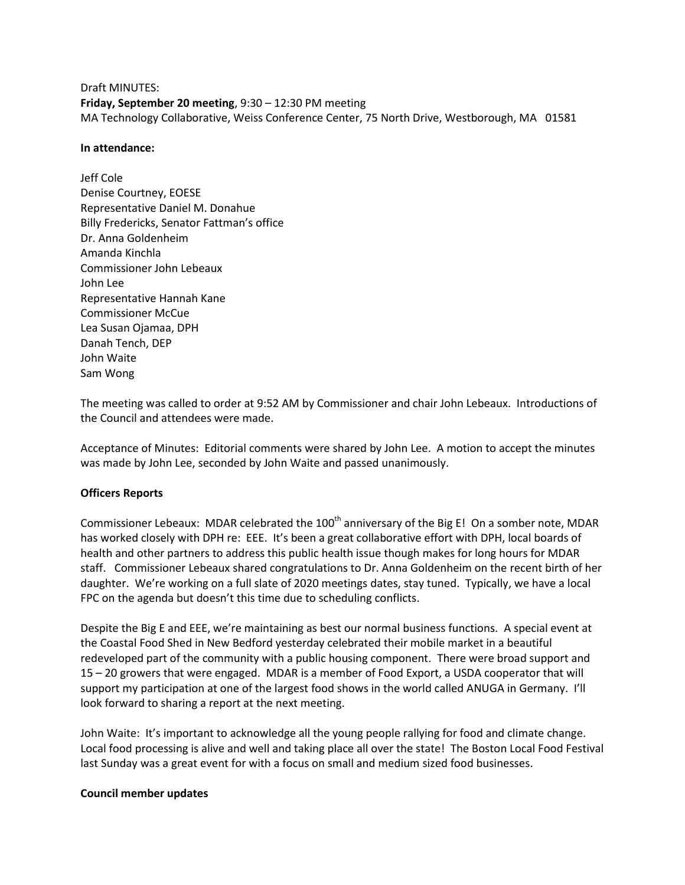Draft MINUTES: **Friday, September 20 meeting**, 9:30 – 12:30 PM meeting MA Technology Collaborative, Weiss Conference Center, 75 North Drive, Westborough, MA 01581

#### **In attendance:**

Jeff Cole Denise Courtney, EOESE Representative Daniel M. Donahue Billy Fredericks, Senator Fattman's office Dr. Anna Goldenheim Amanda Kinchla Commissioner John Lebeaux John Lee Representative Hannah Kane Commissioner McCue Lea Susan Ojamaa, DPH Danah Tench, DEP John Waite Sam Wong

The meeting was called to order at 9:52 AM by Commissioner and chair John Lebeaux. Introductions of the Council and attendees were made.

Acceptance of Minutes: Editorial comments were shared by John Lee. A motion to accept the minutes was made by John Lee, seconded by John Waite and passed unanimously.

### **Officers Reports**

Commissioner Lebeaux: MDAR celebrated the 100<sup>th</sup> anniversary of the Big E! On a somber note, MDAR has worked closely with DPH re: EEE. It's been a great collaborative effort with DPH, local boards of health and other partners to address this public health issue though makes for long hours for MDAR staff. Commissioner Lebeaux shared congratulations to Dr. Anna Goldenheim on the recent birth of her daughter. We're working on a full slate of 2020 meetings dates, stay tuned. Typically, we have a local FPC on the agenda but doesn't this time due to scheduling conflicts.

Despite the Big E and EEE, we're maintaining as best our normal business functions. A special event at the Coastal Food Shed in New Bedford yesterday celebrated their mobile market in a beautiful redeveloped part of the community with a public housing component. There were broad support and 15 – 20 growers that were engaged. MDAR is a member of Food Export, a USDA cooperator that will support my participation at one of the largest food shows in the world called ANUGA in Germany. I'll look forward to sharing a report at the next meeting.

John Waite: It's important to acknowledge all the young people rallying for food and climate change. Local food processing is alive and well and taking place all over the state! The Boston Local Food Festival last Sunday was a great event for with a focus on small and medium sized food businesses.

### **Council member updates**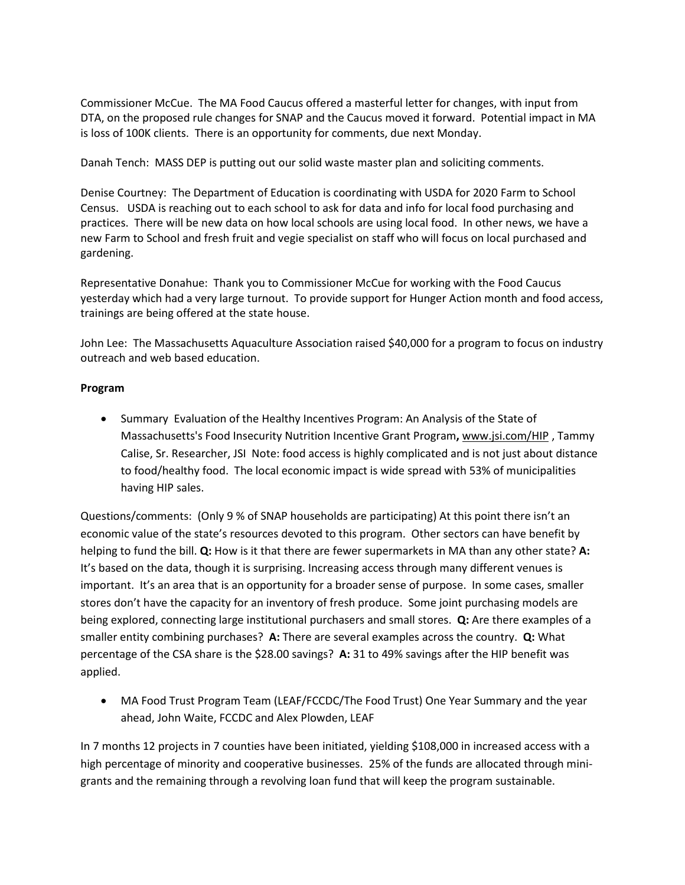Commissioner McCue. The MA Food Caucus offered a masterful letter for changes, with input from DTA, on the proposed rule changes for SNAP and the Caucus moved it forward. Potential impact in MA is loss of 100K clients. There is an opportunity for comments, due next Monday.

Danah Tench: MASS DEP is putting out our solid waste master plan and soliciting comments.

Denise Courtney: The Department of Education is coordinating with USDA for 2020 Farm to School Census. USDA is reaching out to each school to ask for data and info for local food purchasing and practices. There will be new data on how local schools are using local food. In other news, we have a new Farm to School and fresh fruit and vegie specialist on staff who will focus on local purchased and gardening.

Representative Donahue: Thank you to Commissioner McCue for working with the Food Caucus yesterday which had a very large turnout. To provide support for Hunger Action month and food access, trainings are being offered at the state house.

John Lee: The Massachusetts Aquaculture Association raised \$40,000 for a program to focus on industry outreach and web based education.

## **Program**

 Summary Evaluation of the Healthy Incentives Program: An Analysis of the State of Massachusetts's Food Insecurity Nutrition Incentive Grant Program**,** [www.jsi.com/HIP](https://urldefense.proofpoint.com/v2/url?u=http-3A__www.jsi.com_HIP&d=DwMF-g&c=lDF7oMaPKXpkYvev9V-fVahWL0QWnGCCAfCDz1Bns_w&r=YrpVnhwhSgMBP3cJC2A1bNNUqc_H54UHV1hG5zLaX_c&m=aV1aSRPpU5nJrvIaQd3hDxuScaO8CpSgixMipIHQqkc&s=h0vGV3yIjzcXC-ZdXS_mEphFzQHYWOZUg_ssaJwkXzE&e=) , Tammy Calise, Sr. Researcher, JSI Note: food access is highly complicated and is not just about distance to food/healthy food. The local economic impact is wide spread with 53% of municipalities having HIP sales.

Questions/comments: (Only 9 % of SNAP households are participating) At this point there isn't an economic value of the state's resources devoted to this program. Other sectors can have benefit by helping to fund the bill. **Q:** How is it that there are fewer supermarkets in MA than any other state? **A:** It's based on the data, though it is surprising. Increasing access through many different venues is important. It's an area that is an opportunity for a broader sense of purpose. In some cases, smaller stores don't have the capacity for an inventory of fresh produce. Some joint purchasing models are being explored, connecting large institutional purchasers and small stores. **Q:** Are there examples of a smaller entity combining purchases? **A:** There are several examples across the country. **Q:** What percentage of the CSA share is the \$28.00 savings? **A:** 31 to 49% savings after the HIP benefit was applied.

 MA Food Trust Program Team (LEAF/FCCDC/The Food Trust) One Year Summary and the year ahead, John Waite, FCCDC and Alex Plowden, LEAF

In 7 months 12 projects in 7 counties have been initiated, yielding \$108,000 in increased access with a high percentage of minority and cooperative businesses. 25% of the funds are allocated through minigrants and the remaining through a revolving loan fund that will keep the program sustainable.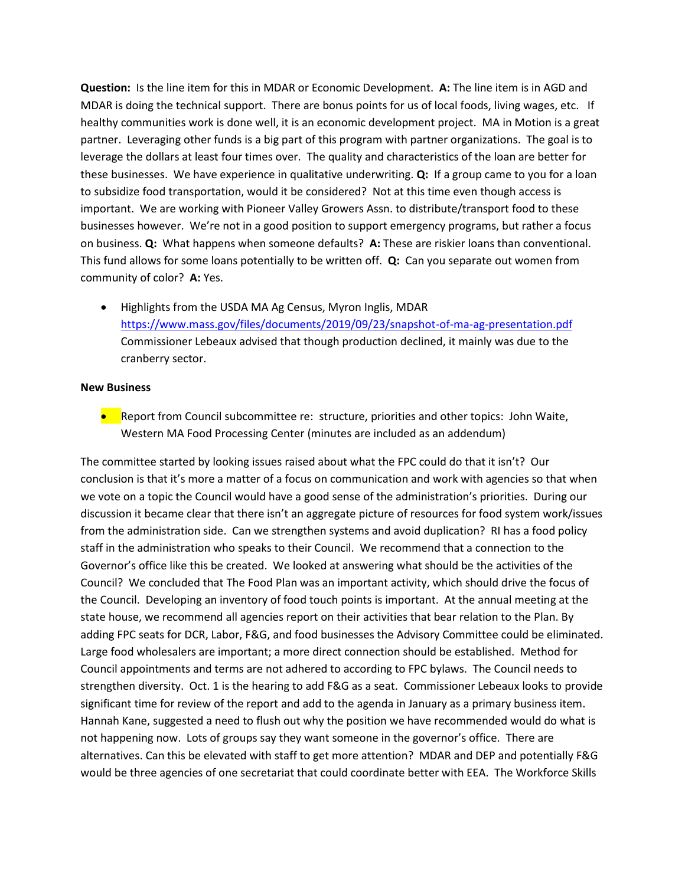**Question:** Is the line item for this in MDAR or Economic Development. **A:** The line item is in AGD and MDAR is doing the technical support. There are bonus points for us of local foods, living wages, etc. If healthy communities work is done well, it is an economic development project. MA in Motion is a great partner. Leveraging other funds is a big part of this program with partner organizations. The goal is to leverage the dollars at least four times over. The quality and characteristics of the loan are better for these businesses. We have experience in qualitative underwriting. **Q:** If a group came to you for a loan to subsidize food transportation, would it be considered? Not at this time even though access is important. We are working with Pioneer Valley Growers Assn. to distribute/transport food to these businesses however. We're not in a good position to support emergency programs, but rather a focus on business. **Q:** What happens when someone defaults? **A:** These are riskier loans than conventional. This fund allows for some loans potentially to be written off. **Q:** Can you separate out women from community of color? **A:** Yes.

 Highlights from the USDA MA Ag Census, Myron Inglis, MDAR <https://www.mass.gov/files/documents/2019/09/23/snapshot-of-ma-ag-presentation.pdf> Commissioner Lebeaux advised that though production declined, it mainly was due to the cranberry sector.

## **New Business**

**•** Report from Council subcommittee re: structure, priorities and other topics: John Waite, Western MA Food Processing Center (minutes are included as an addendum)

The committee started by looking issues raised about what the FPC could do that it isn't? Our conclusion is that it's more a matter of a focus on communication and work with agencies so that when we vote on a topic the Council would have a good sense of the administration's priorities. During our discussion it became clear that there isn't an aggregate picture of resources for food system work/issues from the administration side. Can we strengthen systems and avoid duplication? RI has a food policy staff in the administration who speaks to their Council. We recommend that a connection to the Governor's office like this be created. We looked at answering what should be the activities of the Council? We concluded that The Food Plan was an important activity, which should drive the focus of the Council. Developing an inventory of food touch points is important. At the annual meeting at the state house, we recommend all agencies report on their activities that bear relation to the Plan. By adding FPC seats for DCR, Labor, F&G, and food businesses the Advisory Committee could be eliminated. Large food wholesalers are important; a more direct connection should be established. Method for Council appointments and terms are not adhered to according to FPC bylaws. The Council needs to strengthen diversity. Oct. 1 is the hearing to add F&G as a seat. Commissioner Lebeaux looks to provide significant time for review of the report and add to the agenda in January as a primary business item. Hannah Kane, suggested a need to flush out why the position we have recommended would do what is not happening now. Lots of groups say they want someone in the governor's office. There are alternatives. Can this be elevated with staff to get more attention? MDAR and DEP and potentially F&G would be three agencies of one secretariat that could coordinate better with EEA. The Workforce Skills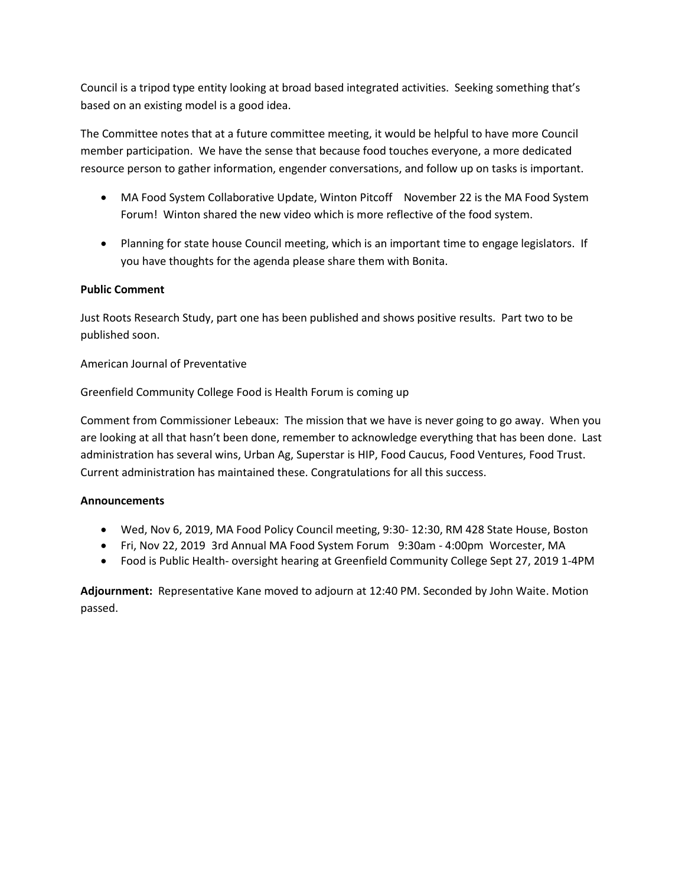Council is a tripod type entity looking at broad based integrated activities. Seeking something that's based on an existing model is a good idea.

The Committee notes that at a future committee meeting, it would be helpful to have more Council member participation. We have the sense that because food touches everyone, a more dedicated resource person to gather information, engender conversations, and follow up on tasks is important.

- MA Food System Collaborative Update, Winton Pitcoff November 22 is the MA Food System Forum! Winton shared the new video which is more reflective of the food system.
- Planning for state house Council meeting, which is an important time to engage legislators. If you have thoughts for the agenda please share them with Bonita.

# **Public Comment**

Just Roots Research Study, part one has been published and shows positive results. Part two to be published soon.

American Journal of Preventative

Greenfield Community College Food is Health Forum is coming up

Comment from Commissioner Lebeaux: The mission that we have is never going to go away. When you are looking at all that hasn't been done, remember to acknowledge everything that has been done. Last administration has several wins, Urban Ag, Superstar is HIP, Food Caucus, Food Ventures, Food Trust. Current administration has maintained these. Congratulations for all this success.

## **Announcements**

- Wed, Nov 6, 2019, MA Food Policy Council meeting, 9:30- 12:30, RM 428 State House, Boston
- [Fri, Nov 22, 2019](https://urldefense.proofpoint.com/v2/url?u=http-3A__r20.rs6.net_tn.jsp-3Ff-3D001-2D2S6M8VwKVg1ZI5LP5XL9iJoUkZHhOlmUI61mIFC6ijYR2ACzp78wkcEhAvp4bRtHAbLkfKJiUVSUQsrJLT9C-2D0pdl0rzDBs0-2DXqzkBRdvVnL8s-2DzQ0EK7u6Z96OLIjRG7TLJZiQ0NWplaypnt6hARTxmGMk4XVLN6IW0JkrjX4-3D-26c-3DQi11BYvPKjC8jj0B-5FjluCfT9NL2AATSVLjeN5Ed6yakaiDsSnzILvg-3D-3D-26ch-3D3honsyNIYyoGbyLjLWP1peZo-2DhzGIH5-5Fg8kTVYwKLcD4h098EcPt-5FA-3D-3D&d=DwMFaQ&c=lDF7oMaPKXpkYvev9V-fVahWL0QWnGCCAfCDz1Bns_w&r=YrpVnhwhSgMBP3cJC2A1bNNUqc_H54UHV1hG5zLaX_c&m=uOfmN-qUcFD0TE4HZuMOLCZQq_Qu7JyQL2tRUqv_OKg&s=HDowx0pGOkL0xqB-3SDh62jjDNeAbbSLlH-Y3yua-7o&e=)**,** [3rd Annual MA](https://urldefense.proofpoint.com/v2/url?u=http-3A__r20.rs6.net_tn.jsp-3Ff-3D001-2D2S6M8VwKVg1ZI5LP5XL9iJoUkZHhOlmUI61mIFC6ijYR2ACzp78wkcEhAvp4bRtHAbLkfKJiUVSUQsrJLT9C-2D0pdl0rzDBs0-2DXqzkBRdvVnL8s-2DzQ0EK7u6Z96OLIjRG7TLJZiQ0NWplaypnt6hARTxmGMk4XVLN6IW0JkrjX4-3D-26c-3DQi11BYvPKjC8jj0B-5FjluCfT9NL2AATSVLjeN5Ed6yakaiDsSnzILvg-3D-3D-26ch-3D3honsyNIYyoGbyLjLWP1peZo-2DhzGIH5-5Fg8kTVYwKLcD4h098EcPt-5FA-3D-3D&d=DwMFaQ&c=lDF7oMaPKXpkYvev9V-fVahWL0QWnGCCAfCDz1Bns_w&r=YrpVnhwhSgMBP3cJC2A1bNNUqc_H54UHV1hG5zLaX_c&m=uOfmN-qUcFD0TE4HZuMOLCZQq_Qu7JyQL2tRUqv_OKg&s=HDowx0pGOkL0xqB-3SDh62jjDNeAbbSLlH-Y3yua-7o&e=) [Food System Forum,](https://urldefense.proofpoint.com/v2/url?u=http-3A__r20.rs6.net_tn.jsp-3Ff-3D001-2D2S6M8VwKVg1ZI5LP5XL9iJoUkZHhOlmUI61mIFC6ijYR2ACzp78wkcEhAvp4bRtHAbLkfKJiUVSUQsrJLT9C-2D0pdl0rzDBs0-2DXqzkBRdvVnL8s-2DzQ0EK7u6Z96OLIjRG7TLJZiQ0NWplaypnt6hARTxmGMk4XVLN6IW0JkrjX4-3D-26c-3DQi11BYvPKjC8jj0B-5FjluCfT9NL2AATSVLjeN5Ed6yakaiDsSnzILvg-3D-3D-26ch-3D3honsyNIYyoGbyLjLWP1peZo-2DhzGIH5-5Fg8kTVYwKLcD4h098EcPt-5FA-3D-3D&d=DwMFaQ&c=lDF7oMaPKXpkYvev9V-fVahWL0QWnGCCAfCDz1Bns_w&r=YrpVnhwhSgMBP3cJC2A1bNNUqc_H54UHV1hG5zLaX_c&m=uOfmN-qUcFD0TE4HZuMOLCZQq_Qu7JyQL2tRUqv_OKg&s=HDowx0pGOkL0xqB-3SDh62jjDNeAbbSLlH-Y3yua-7o&e=)**,** [9:30am -](https://urldefense.proofpoint.com/v2/url?u=http-3A__r20.rs6.net_tn.jsp-3Ff-3D001-2D2S6M8VwKVg1ZI5LP5XL9iJoUkZHhOlmUI61mIFC6ijYR2ACzp78wkcEhAvp4bRtHAbLkfKJiUVSUQsrJLT9C-2D0pdl0rzDBs0-2DXqzkBRdvVnL8s-2DzQ0EK7u6Z96OLIjRG7TLJZiQ0NWplaypnt6hARTxmGMk4XVLN6IW0JkrjX4-3D-26c-3DQi11BYvPKjC8jj0B-5FjluCfT9NL2AATSVLjeN5Ed6yakaiDsSnzILvg-3D-3D-26ch-3D3honsyNIYyoGbyLjLWP1peZo-2DhzGIH5-5Fg8kTVYwKLcD4h098EcPt-5FA-3D-3D&d=DwMFaQ&c=lDF7oMaPKXpkYvev9V-fVahWL0QWnGCCAfCDz1Bns_w&r=YrpVnhwhSgMBP3cJC2A1bNNUqc_H54UHV1hG5zLaX_c&m=uOfmN-qUcFD0TE4HZuMOLCZQq_Qu7JyQL2tRUqv_OKg&s=HDowx0pGOkL0xqB-3SDh62jjDNeAbbSLlH-Y3yua-7o&e=) 4:00pm**,** [Worcester, MA](https://urldefense.proofpoint.com/v2/url?u=http-3A__r20.rs6.net_tn.jsp-3Ff-3D001-2D2S6M8VwKVg1ZI5LP5XL9iJoUkZHhOlmUI61mIFC6ijYR2ACzp78wkcEhAvp4bRtHAbLkfKJiUVSUQsrJLT9C-2D0pdl0rzDBs0-2DXqzkBRdvVnL8s-2DzQ0EK7u6Z96OLIjRG7TLJZiQ0NWplaypnt6hARTxmGMk4XVLN6IW0JkrjX4-3D-26c-3DQi11BYvPKjC8jj0B-5FjluCfT9NL2AATSVLjeN5Ed6yakaiDsSnzILvg-3D-3D-26ch-3D3honsyNIYyoGbyLjLWP1peZo-2DhzGIH5-5Fg8kTVYwKLcD4h098EcPt-5FA-3D-3D&d=DwMFaQ&c=lDF7oMaPKXpkYvev9V-fVahWL0QWnGCCAfCDz1Bns_w&r=YrpVnhwhSgMBP3cJC2A1bNNUqc_H54UHV1hG5zLaX_c&m=uOfmN-qUcFD0TE4HZuMOLCZQq_Qu7JyQL2tRUqv_OKg&s=HDowx0pGOkL0xqB-3SDh62jjDNeAbbSLlH-Y3yua-7o&e=)
- Food is Public Health- oversight hearing at Greenfield Community College Sept 27, 2019 1-4PM

**Adjournment:** Representative Kane moved to adjourn at 12:40 PM. Seconded by John Waite. Motion passed.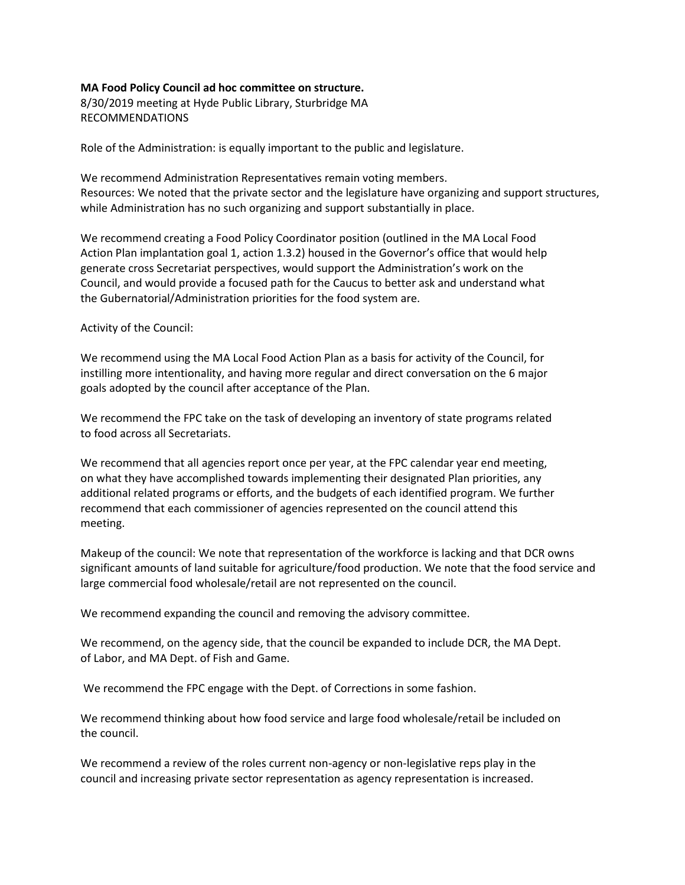## **MA Food Policy Council ad hoc committee on structure.**

8/30/2019 meeting at Hyde Public Library, Sturbridge MA RECOMMENDATIONS

Role of the Administration: is equally important to the public and legislature.

We recommend Administration Representatives remain voting members. Resources: We noted that the private sector and the legislature have organizing and support structures, while Administration has no such organizing and support substantially in place.

We recommend creating a Food Policy Coordinator position (outlined in the MA Local Food Action Plan implantation goal 1, action 1.3.2) housed in the Governor's office that would help generate cross Secretariat perspectives, would support the Administration's work on the Council, and would provide a focused path for the Caucus to better ask and understand what the Gubernatorial/Administration priorities for the food system are.

## Activity of the Council:

We recommend using the MA Local Food Action Plan as a basis for activity of the Council, for instilling more intentionality, and having more regular and direct conversation on the 6 major goals adopted by the council after acceptance of the Plan.

We recommend the FPC take on the task of developing an inventory of state programs related to food across all Secretariats.

We recommend that all agencies report once per year, at the FPC calendar year end meeting, on what they have accomplished towards implementing their designated Plan priorities, any additional related programs or efforts, and the budgets of each identified program. We further recommend that each commissioner of agencies represented on the council attend this meeting.

Makeup of the council: We note that representation of the workforce is lacking and that DCR owns significant amounts of land suitable for agriculture/food production. We note that the food service and large commercial food wholesale/retail are not represented on the council.

We recommend expanding the council and removing the advisory committee.

We recommend, on the agency side, that the council be expanded to include DCR, the MA Dept. of Labor, and MA Dept. of Fish and Game.

We recommend the FPC engage with the Dept. of Corrections in some fashion.

We recommend thinking about how food service and large food wholesale/retail be included on the council.

We recommend a review of the roles current non-agency or non-legislative reps play in the council and increasing private sector representation as agency representation is increased.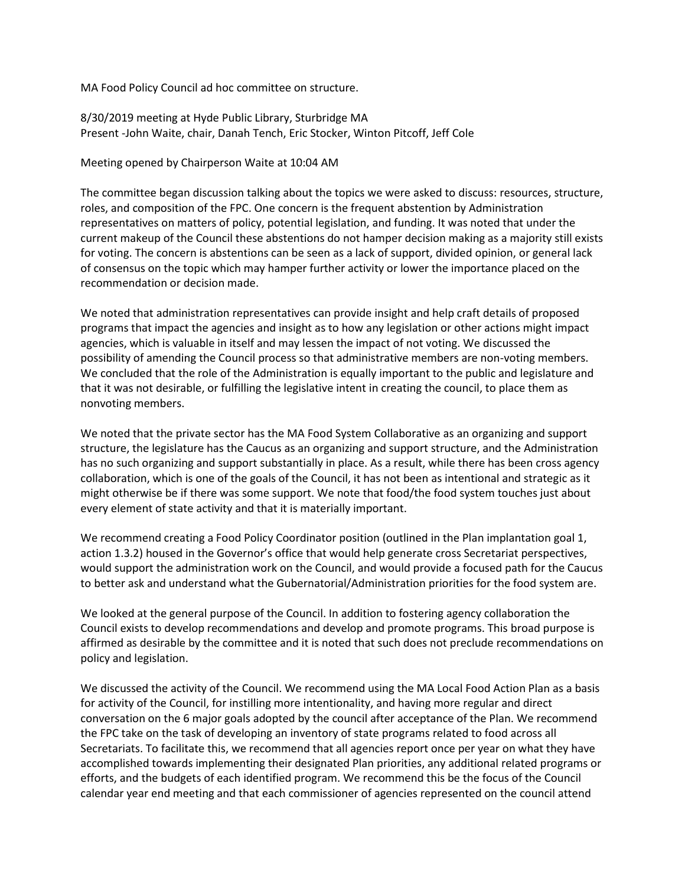MA Food Policy Council ad hoc committee on structure.

8/30/2019 meeting at Hyde Public Library, Sturbridge MA Present -John Waite, chair, Danah Tench, Eric Stocker, Winton Pitcoff, Jeff Cole

Meeting opened by Chairperson Waite at 10:04 AM

The committee began discussion talking about the topics we were asked to discuss: resources, structure, roles, and composition of the FPC. One concern is the frequent abstention by Administration representatives on matters of policy, potential legislation, and funding. It was noted that under the current makeup of the Council these abstentions do not hamper decision making as a majority still exists for voting. The concern is abstentions can be seen as a lack of support, divided opinion, or general lack of consensus on the topic which may hamper further activity or lower the importance placed on the recommendation or decision made.

We noted that administration representatives can provide insight and help craft details of proposed programs that impact the agencies and insight as to how any legislation or other actions might impact agencies, which is valuable in itself and may lessen the impact of not voting. We discussed the possibility of amending the Council process so that administrative members are non-voting members. We concluded that the role of the Administration is equally important to the public and legislature and that it was not desirable, or fulfilling the legislative intent in creating the council, to place them as nonvoting members.

We noted that the private sector has the MA Food System Collaborative as an organizing and support structure, the legislature has the Caucus as an organizing and support structure, and the Administration has no such organizing and support substantially in place. As a result, while there has been cross agency collaboration, which is one of the goals of the Council, it has not been as intentional and strategic as it might otherwise be if there was some support. We note that food/the food system touches just about every element of state activity and that it is materially important.

We recommend creating a Food Policy Coordinator position (outlined in the Plan implantation goal 1, action 1.3.2) housed in the Governor's office that would help generate cross Secretariat perspectives, would support the administration work on the Council, and would provide a focused path for the Caucus to better ask and understand what the Gubernatorial/Administration priorities for the food system are.

We looked at the general purpose of the Council. In addition to fostering agency collaboration the Council exists to develop recommendations and develop and promote programs. This broad purpose is affirmed as desirable by the committee and it is noted that such does not preclude recommendations on policy and legislation.

We discussed the activity of the Council. We recommend using the MA Local Food Action Plan as a basis for activity of the Council, for instilling more intentionality, and having more regular and direct conversation on the 6 major goals adopted by the council after acceptance of the Plan. We recommend the FPC take on the task of developing an inventory of state programs related to food across all Secretariats. To facilitate this, we recommend that all agencies report once per year on what they have accomplished towards implementing their designated Plan priorities, any additional related programs or efforts, and the budgets of each identified program. We recommend this be the focus of the Council calendar year end meeting and that each commissioner of agencies represented on the council attend